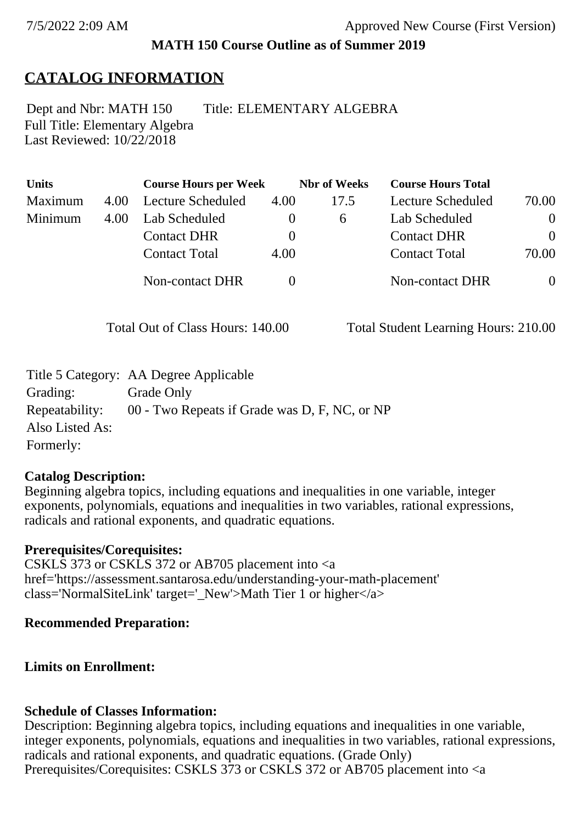### **MATH 150 Course Outline as of Summer 2019**

# **CATALOG INFORMATION**

Full Title: Elementary Algebra Last Reviewed: 10/22/2018 Dept and Nbr: MATH 150 Title: ELEMENTARY ALGEBRA

| <b>Units</b> |      | <b>Course Hours per Week</b> |          | <b>Nbr</b> of Weeks | <b>Course Hours Total</b> |                |
|--------------|------|------------------------------|----------|---------------------|---------------------------|----------------|
| Maximum      | 4.00 | Lecture Scheduled            | 4.00     | 17.5                | Lecture Scheduled         | 70.00          |
| Minimum      | 4.00 | Lab Scheduled                | $\theta$ | $\sigma$            | Lab Scheduled             | $\overline{0}$ |
|              |      | <b>Contact DHR</b>           | $\theta$ |                     | <b>Contact DHR</b>        | $\theta$       |
|              |      | <b>Contact Total</b>         | 4.00     |                     | <b>Contact Total</b>      | 70.00          |
|              |      | <b>Non-contact DHR</b>       |          |                     | Non-contact DHR           | $\overline{0}$ |

Total Out of Class Hours: 140.00 Total Student Learning Hours: 210.00

|                 | Title 5 Category: AA Degree Applicable        |
|-----------------|-----------------------------------------------|
| Grading:        | Grade Only                                    |
| Repeatability:  | 00 - Two Repeats if Grade was D, F, NC, or NP |
| Also Listed As: |                                               |
| Formerly:       |                                               |

#### **Catalog Description:**

Beginning algebra topics, including equations and inequalities in one variable, integer exponents, polynomials, equations and inequalities in two variables, rational expressions, radicals and rational exponents, and quadratic equations.

#### **Prerequisites/Corequisites:**

CSKLS 373 or CSKLS 372 or AB705 placement into <a href='https://assessment.santarosa.edu/understanding-your-math-placement' class='NormalSiteLink' target=' New'>Math Tier 1 or higher $\langle a \rangle$ 

#### **Recommended Preparation:**

### **Limits on Enrollment:**

### **Schedule of Classes Information:**

Description: Beginning algebra topics, including equations and inequalities in one variable, integer exponents, polynomials, equations and inequalities in two variables, rational expressions, radicals and rational exponents, and quadratic equations. (Grade Only) Prerequisites/Corequisites: CSKLS 373 or CSKLS 372 or AB705 placement into <a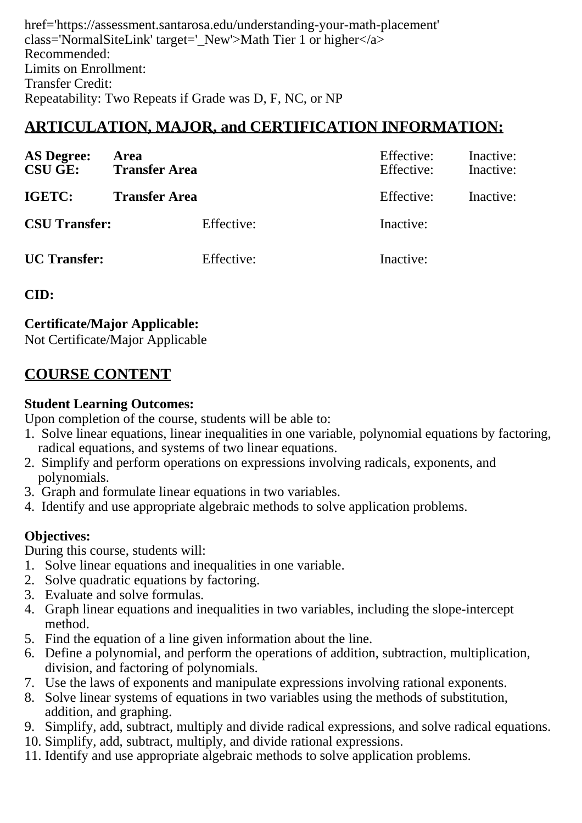href='https://assessment.santarosa.edu/understanding-your-math-placement' class='NormalSiteLink' target=' New'>Math Tier 1 or higher $\langle a \rangle$ Recommended: Limits on Enrollment: Transfer Credit: Repeatability: Two Repeats if Grade was D, F, NC, or NP

# **ARTICULATION, MAJOR, and CERTIFICATION INFORMATION:**

| <b>AS Degree:</b><br><b>CSU GE:</b> | Area<br><b>Transfer Area</b> | Effective:<br>Effective: | Inactive:<br>Inactive: |
|-------------------------------------|------------------------------|--------------------------|------------------------|
| IGETC:<br><b>Transfer Area</b>      |                              | Effective:               | Inactive:              |
| <b>CSU Transfer:</b>                | Effective:                   | Inactive:                |                        |
| <b>UC</b> Transfer:                 | Effective:                   | Inactive:                |                        |

#### **CID:**

**Certificate/Major Applicable:** 

[Not Certificate/Major Applicable](SR_ClassCheck.aspx?CourseKey=MATH150)

# **COURSE CONTENT**

#### **Student Learning Outcomes:**

Upon completion of the course, students will be able to:

- 1. Solve linear equations, linear inequalities in one variable, polynomial equations by factoring, radical equations, and systems of two linear equations.
- 2. Simplify and perform operations on expressions involving radicals, exponents, and polynomials.
- 3. Graph and formulate linear equations in two variables.
- 4. Identify and use appropriate algebraic methods to solve application problems.

### **Objectives:**

During this course, students will:

- 1. Solve linear equations and inequalities in one variable.
- 2. Solve quadratic equations by factoring.
- 3. Evaluate and solve formulas.
- 4. Graph linear equations and inequalities in two variables, including the slope-intercept method.
- 5. Find the equation of a line given information about the line.
- 6. Define a polynomial, and perform the operations of addition, subtraction, multiplication, division, and factoring of polynomials.
- 7. Use the laws of exponents and manipulate expressions involving rational exponents.
- 8. Solve linear systems of equations in two variables using the methods of substitution, addition, and graphing.
- 9. Simplify, add, subtract, multiply and divide radical expressions, and solve radical equations.
- 10. Simplify, add, subtract, multiply, and divide rational expressions.
- 11. Identify and use appropriate algebraic methods to solve application problems.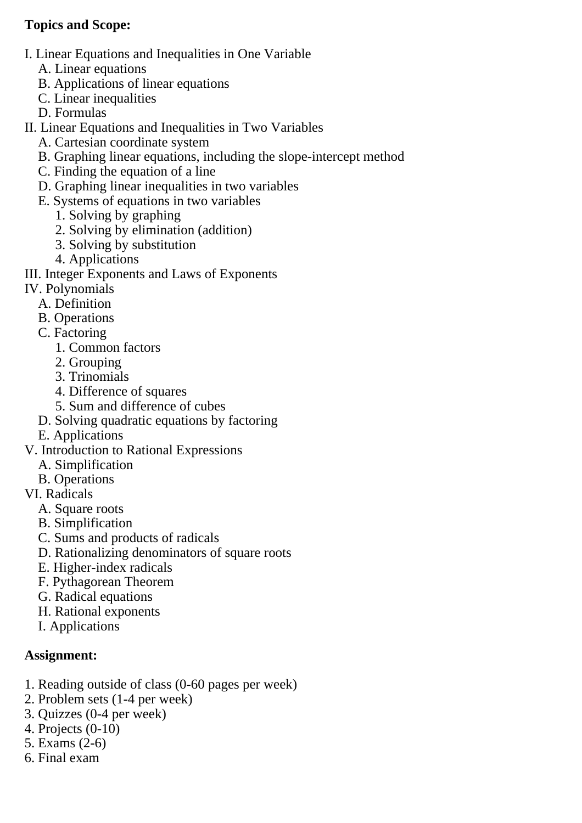#### **Topics and Scope:**

- I. Linear Equations and Inequalities in One Variable
	- A. Linear equations
	- B. Applications of linear equations
	- C. Linear inequalities
	- D. Formulas

II. Linear Equations and Inequalities in Two Variables

- A. Cartesian coordinate system
- B. Graphing linear equations, including the slope-intercept method
- C. Finding the equation of a line
- D. Graphing linear inequalities in two variables
- E. Systems of equations in two variables
	- 1. Solving by graphing
	- 2. Solving by elimination (addition)
	- 3. Solving by substitution
	- 4. Applications

III. Integer Exponents and Laws of Exponents

- IV. Polynomials
- A. Definition
	- B. Operations
	- C. Factoring
		- 1. Common factors
		- 2. Grouping
		- 3. Trinomials
		- 4. Difference of squares
		- 5. Sum and difference of cubes
	- D. Solving quadratic equations by factoring
	- E. Applications
- V. Introduction to Rational Expressions
	- A. Simplification
	- B. Operations
- VI. Radicals
	- A. Square roots
	- B. Simplification
	- C. Sums and products of radicals
	- D. Rationalizing denominators of square roots
	- E. Higher-index radicals
	- F. Pythagorean Theorem
	- G. Radical equations
	- H. Rational exponents
	- I. Applications

### **Assignment:**

- 1. Reading outside of class (0-60 pages per week)
- 2. Problem sets (1-4 per week)
- 3. Quizzes (0-4 per week)
- 4. Projects (0-10)
- 5. Exams (2-6)
- 6. Final exam